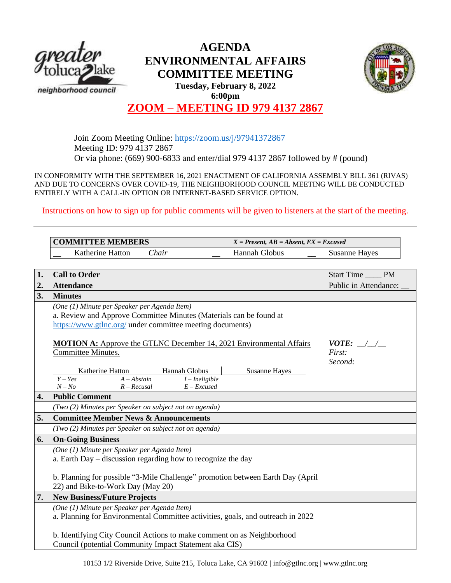

# **AGENDA ENVIRONMENTAL AFFAIRS COMMITTEE MEETING Tuesday, February 8, 2022 6:00pm**



# **ZOOM – MEETING ID 979 4137 2867**

Join Zoom Meeting Online:<https://zoom.us/j/97941372867> Meeting ID: 979 4137 2867 Or via phone: (669) 900-6833 and enter/dial 979 4137 2867 followed by # (pound)

IN CONFORMITY WITH THE SEPTEMBER 16, 2021 ENACTMENT OF CALIFORNIA ASSEMBLY BILL 361 (RIVAS) AND DUE TO CONCERNS OVER COVID-19, THE NEIGHBORHOOD COUNCIL MEETING WILL BE CONDUCTED ENTIRELY WITH A CALL-IN OPTION OR INTERNET-BASED SERVICE OPTION.

Instructions on how to sign up for public comments will be given to listeners at the start of the meeting.

|    | <b>COMMITTEE MEMBERS</b>                                                                                                                                                        |                      | $X = Present, AB = Absent, EX = Excused$ |  |
|----|---------------------------------------------------------------------------------------------------------------------------------------------------------------------------------|----------------------|------------------------------------------|--|
|    | Katherine Hatton<br>Chair                                                                                                                                                       | Hannah Globus        | <b>Susanne Hayes</b>                     |  |
|    |                                                                                                                                                                                 |                      |                                          |  |
| 1. | <b>Call to Order</b>                                                                                                                                                            |                      | Start Time<br><b>PM</b>                  |  |
| 2. | <b>Attendance</b>                                                                                                                                                               |                      | Public in Attendance:                    |  |
| 3. | <b>Minutes</b>                                                                                                                                                                  |                      |                                          |  |
|    | (One (1) Minute per Speaker per Agenda Item)<br>a. Review and Approve Committee Minutes (Materials can be found at<br>https://www.gtlnc.org/ under committee meeting documents) |                      |                                          |  |
|    | <b>MOTION A:</b> Approve the GTLNC December 14, 2021 Environmental Affairs                                                                                                      |                      | $VOTE:$ / /                              |  |
|    | Committee Minutes.                                                                                                                                                              |                      | First:                                   |  |
|    | Hannah Globus<br>Katherine Hatton<br>$Y - Yes$<br>$A - Abstain$<br>$I$ – Ineligible<br>$N - No$<br>$R - Recusal$<br>$E - Excused$                                               | <b>Susanne Hayes</b> | Second:                                  |  |
| 4. | <b>Public Comment</b>                                                                                                                                                           |                      |                                          |  |
|    | (Two (2) Minutes per Speaker on subject not on agenda)                                                                                                                          |                      |                                          |  |
| 5. | <b>Committee Member News &amp; Announcements</b>                                                                                                                                |                      |                                          |  |
|    | (Two (2) Minutes per Speaker on subject not on agenda)                                                                                                                          |                      |                                          |  |
| 6. | <b>On-Going Business</b>                                                                                                                                                        |                      |                                          |  |
|    | (One (1) Minute per Speaker per Agenda Item)<br>a. Earth Day – discussion regarding how to recognize the day                                                                    |                      |                                          |  |
|    | b. Planning for possible "3-Mile Challenge" promotion between Earth Day (April<br>22) and Bike-to-Work Day (May 20)                                                             |                      |                                          |  |
| 7. | <b>New Business/Future Projects</b>                                                                                                                                             |                      |                                          |  |
|    | (One (1) Minute per Speaker per Agenda Item)<br>a. Planning for Environmental Committee activities, goals, and outreach in 2022                                                 |                      |                                          |  |
|    | b. Identifying City Council Actions to make comment on as Neighborhood<br>Council (potential Community Impact Statement aka CIS)                                                |                      |                                          |  |